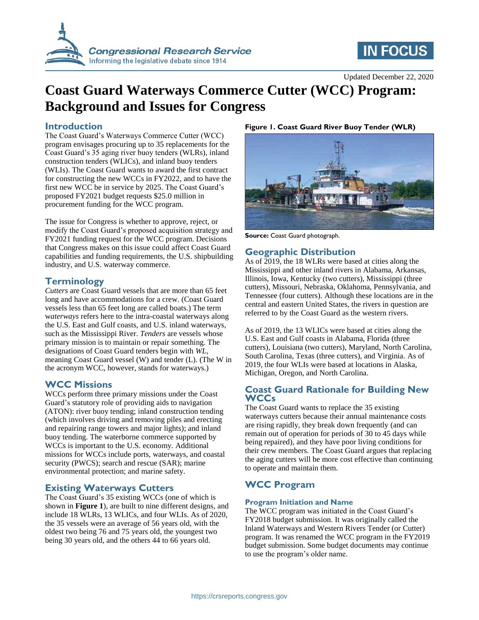

# **IN FOCUS**

Updated December 22, 2020

# **Coast Guard Waterways Commerce Cutter (WCC) Program: Background and Issues for Congress**

# **Introduction**

The Coast Guard's Waterways Commerce Cutter (WCC) program envisages procuring up to 35 replacements for the Coast Guard's 35 aging river buoy tenders (WLRs), inland construction tenders (WLICs), and inland buoy tenders (WLIs). The Coast Guard wants to award the first contract for constructing the new WCCs in FY2022, and to have the first new WCC be in service by 2025. The Coast Guard's proposed FY2021 budget requests \$25.0 million in procurement funding for the WCC program.

The issue for Congress is whether to approve, reject, or modify the Coast Guard's proposed acquisition strategy and FY2021 funding request for the WCC program. Decisions that Congress makes on this issue could affect Coast Guard capabilities and funding requirements, the U.S. shipbuilding industry, and U.S. waterway commerce.

# **Terminology**

*Cutters* are Coast Guard vessels that are more than 65 feet long and have accommodations for a crew. (Coast Guard vessels less than 65 feet long are called boats.) The term w*aterways* refers here to the intra-coastal waterways along the U.S. East and Gulf coasts, and U.S. inland waterways, such as the Mississippi River. *Tenders* are vessels whose primary mission is to maintain or repair something. The designations of Coast Guard tenders begin with *WL*, meaning Coast Guard vessel (W) and tender (L). (The W in the acronym WCC, however, stands for waterways.)

## **WCC Missions**

WCCs perform three primary missions under the Coast Guard's statutory role of providing aids to navigation (ATON): river buoy tending; inland construction tending (which involves driving and removing piles and erecting and repairing range towers and major lights); and inland buoy tending. The waterborne commerce supported by WCCs is important to the U.S. economy. Additional missions for WCCs include ports, waterways, and coastal security (PWCS); search and rescue (SAR); marine environmental protection; and marine safety.

## **Existing Waterways Cutters**

The Coast Guard's 35 existing WCCs (one of which is shown in **[Figure 1](#page-0-0)**), are built to nine different designs, and include 18 WLRs, 13 WLICs, and four WLIs. As of 2020, the 35 vessels were an average of 56 years old, with the oldest two being 76 and 75 years old, the youngest two being 30 years old, and the others 44 to 66 years old.

### <span id="page-0-0"></span>**Figure 1. Coast Guard River Buoy Tender (WLR)**



**Source:** Coast Guard photograph.

# **Geographic Distribution**

As of 2019, the 18 WLRs were based at cities along the Mississippi and other inland rivers in Alabama, Arkansas, Illinois, Iowa, Kentucky (two cutters), Mississippi (three cutters), Missouri, Nebraska, Oklahoma, Pennsylvania, and Tennessee (four cutters). Although these locations are in the central and eastern United States, the rivers in question are referred to by the Coast Guard as the western rivers.

As of 2019, the 13 WLICs were based at cities along the U.S. East and Gulf coasts in Alabama, Florida (three cutters), Louisiana (two cutters), Maryland, North Carolina, South Carolina, Texas (three cutters), and Virginia. As of 2019, the four WLIs were based at locations in Alaska, Michigan, Oregon, and North Carolina.

# **Coast Guard Rationale for Building New WCCs**

The Coast Guard wants to replace the 35 existing waterways cutters because their annual maintenance costs are rising rapidly, they break down frequently (and can remain out of operation for periods of 30 to 45 days while being repaired), and they have poor living conditions for their crew members. The Coast Guard argues that replacing the aging cutters will be more cost effective than continuing to operate and maintain them.

# **WCC Program**

#### **Program Initiation and Name**

The WCC program was initiated in the Coast Guard's FY2018 budget submission. It was originally called the Inland Waterways and Western Rivers Tender (or Cutter) program. It was renamed the WCC program in the FY2019 budget submission. Some budget documents may continue to use the program's older name.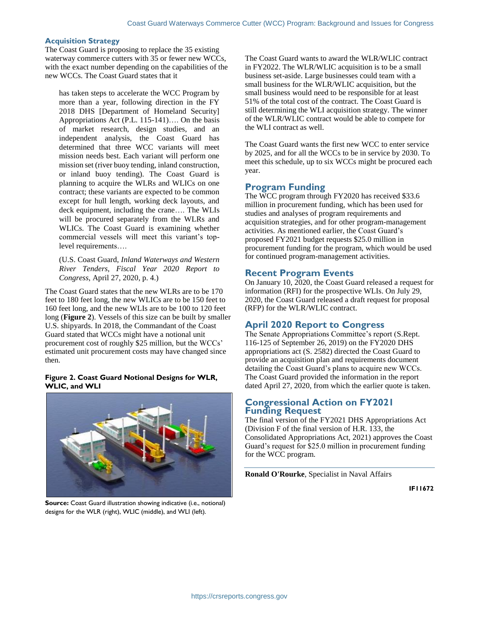#### **Acquisition Strategy**

The Coast Guard is proposing to replace the 35 existing waterway commerce cutters with 35 or fewer new WCCs, with the exact number depending on the capabilities of the new WCCs. The Coast Guard states that it

has taken steps to accelerate the WCC Program by more than a year, following direction in the FY 2018 DHS [Department of Homeland Security] Appropriations Act (P.L. 115-141)…. On the basis of market research, design studies, and an independent analysis, the Coast Guard has determined that three WCC variants will meet mission needs best. Each variant will perform one mission set (river buoy tending, inland construction, or inland buoy tending). The Coast Guard is planning to acquire the WLRs and WLICs on one contract; these variants are expected to be common except for hull length, working deck layouts, and deck equipment, including the crane…. The WLIs will be procured separately from the WLRs and WLICs. The Coast Guard is examining whether commercial vessels will meet this variant's toplevel requirements….

(U.S. Coast Guard, *Inland Waterways and Western River Tenders, Fiscal Year 2020 Report to Congress*, April 27, 2020, p. 4.)

The Coast Guard states that the new WLRs are to be 170 feet to 180 feet long, the new WLICs are to be 150 feet to 160 feet long, and the new WLIs are to be 100 to 120 feet long (**[Figure 2](#page-1-0)**). Vessels of this size can be built by smaller U.S. shipyards. In 2018, the Commandant of the Coast Guard stated that WCCs might have a notional unit procurement cost of roughly \$25 million, but the WCCs' estimated unit procurement costs may have changed since then.

#### <span id="page-1-0"></span>**Figure 2. Coast Guard Notional Designs for WLR, WLIC, and WLI**



**Source:** Coast Guard illustration showing indicative (i.e., notional) designs for the WLR (right), WLIC (middle), and WLI (left).

The Coast Guard wants to award the WLR/WLIC contract in FY2022. The WLR/WLIC acquisition is to be a small business set-aside. Large businesses could team with a small business for the WLR/WLIC acquisition, but the small business would need to be responsible for at least 51% of the total cost of the contract. The Coast Guard is still determining the WLI acquisition strategy. The winner of the WLR/WLIC contract would be able to compete for the WLI contract as well.

The Coast Guard wants the first new WCC to enter service by 2025, and for all the WCCs to be in service by 2030. To meet this schedule, up to six WCCs might be procured each year.

# **Program Funding**

The WCC program through FY2020 has received \$33.6 million in procurement funding, which has been used for studies and analyses of program requirements and acquisition strategies, and for other program-management activities. As mentioned earlier, the Coast Guard's proposed FY2021 budget requests \$25.0 million in procurement funding for the program, which would be used for continued program-management activities.

# **Recent Program Events**

On January 10, 2020, the Coast Guard released a request for information (RFI) for the prospective WLIs. On July 29, 2020, the Coast Guard released a draft request for proposal (RFP) for the WLR/WLIC contract.

# **April 2020 Report to Congress**

The Senate Appropriations Committee's report (S.Rept. 116-125 of September 26, 2019) on the FY2020 DHS appropriations act (S. 2582) directed the Coast Guard to provide an acquisition plan and requirements document detailing the Coast Guard's plans to acquire new WCCs. The Coast Guard provided the information in the report dated April 27, 2020, from which the earlier quote is taken.

## **Congressional Action on FY2021 Funding Request**

The final version of the FY2021 DHS Appropriations Act (Division F of the final version of H.R. 133, the Consolidated Appropriations Act, 2021) approves the Coast Guard's request for \$25.0 million in procurement funding for the WCC program.

**Ronald O'Rourke**, Specialist in Naval Affairs

**IF11672**